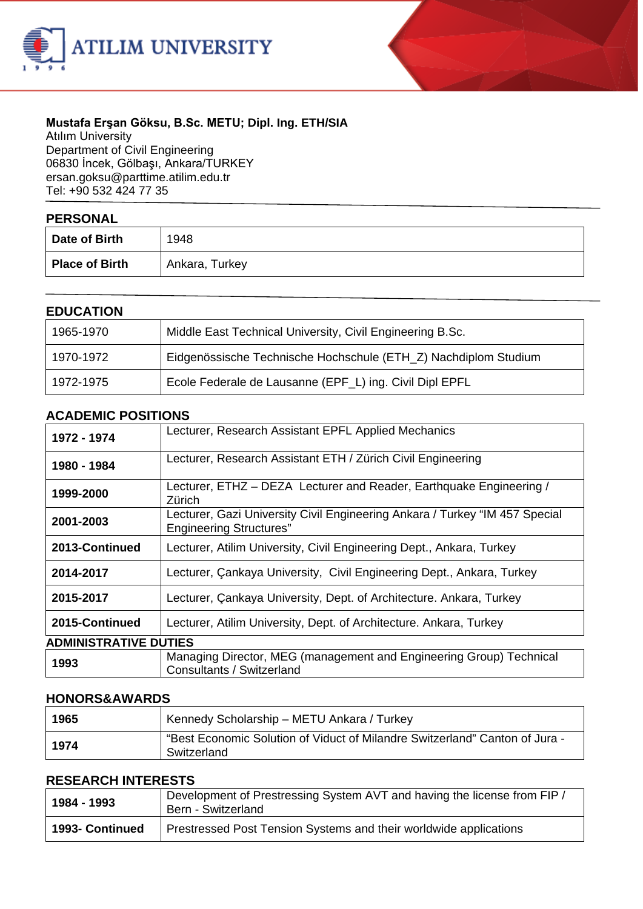



## **Mustafa Erşan Göksu, B.Sc. METU; Dipl. Ing. ETH/SIA**

Atılım University Department of Civil Engineering 06830 İncek, Gölbaşı, Ankara/TURKEY ersan.goks[u@parttime.atilim.edu.tr](mailto:ulug@bilkent.edu.tr) Tel: +90 532 424 77 35

| <b>PERSONAL</b>       |                |  |
|-----------------------|----------------|--|
| Date of Birth         | 1948           |  |
| <b>Place of Birth</b> | Ankara, Turkey |  |

## **EDUCATION**

| ---------- |                                                                 |  |
|------------|-----------------------------------------------------------------|--|
| 1965-1970  | Middle East Technical University, Civil Engineering B.Sc.       |  |
| 1970-1972  | Eidgenössische Technische Hochschule (ETH_Z) Nachdiplom Studium |  |
| 1972-1975  | Ecole Federale de Lausanne (EPF_L) ing. Civil Dipl EPFL         |  |

#### **ACADEMIC POSITIONS**

| 1972 - 1974                  | Lecturer, Research Assistant EPFL Applied Mechanics                                                           |  |
|------------------------------|---------------------------------------------------------------------------------------------------------------|--|
| 1980 - 1984                  | Lecturer, Research Assistant ETH / Zürich Civil Engineering                                                   |  |
| 1999-2000                    | Lecturer, ETHZ - DEZA Lecturer and Reader, Earthquake Engineering /<br>Zürich                                 |  |
| 2001-2003                    | Lecturer, Gazi University Civil Engineering Ankara / Turkey "IM 457 Special<br><b>Engineering Structures"</b> |  |
| 2013-Continued               | Lecturer, Atilim University, Civil Engineering Dept., Ankara, Turkey                                          |  |
| 2014-2017                    | Lecturer, Cankaya University, Civil Engineering Dept., Ankara, Turkey                                         |  |
| 2015-2017                    | Lecturer, Cankaya University, Dept. of Architecture. Ankara, Turkey                                           |  |
| 2015-Continued               | Lecturer, Atilim University, Dept. of Architecture. Ankara, Turkey                                            |  |
| <b>ADMINISTRATIVE DUTIES</b> |                                                                                                               |  |
| 1993                         | Managing Director, MEG (management and Engineering Group) Technical<br>Consultants / Switzerland              |  |

## **HONORS&AWARDS**

| 1965   | Kennedy Scholarship – METU Ankara / Turkey                                                 |
|--------|--------------------------------------------------------------------------------------------|
| ∣ 1974 | "Best Economic Solution of Viduct of Milandre Switzerland" Canton of Jura -<br>Switzerland |

## **RESEARCH INTERESTS**

| 1984 - 1993     | Development of Prestressing System AVT and having the license from FIP /<br>Bern - Switzerland |
|-----------------|------------------------------------------------------------------------------------------------|
| 1993- Continued | Prestressed Post Tension Systems and their worldwide applications                              |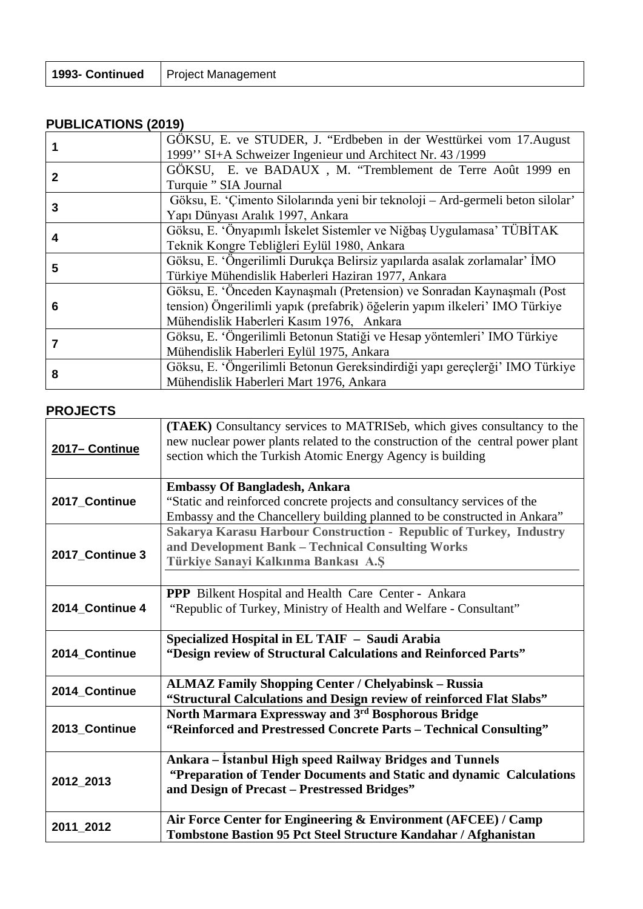| 1993- Continued   Project Management |
|--------------------------------------|
|                                      |

# **PUBLICATIONS (2019)**

|   | GÖKSU, E. ve STUDER, J. "Erdbeben in der Westtürkei vom 17. August<br>1999" SI+A Schweizer Ingenieur und Architect Nr. 43/1999                                                                     |  |
|---|----------------------------------------------------------------------------------------------------------------------------------------------------------------------------------------------------|--|
|   | GÖKSU, E. ve BADAUX, M. "Tremblement de Terre Août 1999 en<br>Turquie " SIA Journal                                                                                                                |  |
| 3 | Göksu, E. 'Çimento Silolarında yeni bir teknoloji – Ard-germeli beton silolar'<br>Yapı Dünyası Aralık 1997, Ankara                                                                                 |  |
| 4 | Göksu, E. 'Önyapımlı İskelet Sistemler ve Niğbaş Uygulamasa' TÜBİTAK<br>Teknik Kongre Tebliğleri Eylül 1980, Ankara                                                                                |  |
| 5 | Göksu, E. 'Öngerilimli Durukça Belirsiz yapılarda asalak zorlamalar' İMO<br>Türkiye Mühendislik Haberleri Haziran 1977, Ankara                                                                     |  |
| 6 | Göksu, E. 'Önceden Kaynaşmalı (Pretension) ve Sonradan Kaynaşmalı (Post<br>tension) Öngerilimli yapık (prefabrik) öğelerin yapım ilkeleri' IMO Türkiye<br>Mühendislik Haberleri Kasım 1976, Ankara |  |
|   | Göksu, E. 'Öngerilimli Betonun Statiği ve Hesap yöntemleri' IMO Türkiye<br>Mühendislik Haberleri Eylül 1975, Ankara                                                                                |  |
| 8 | Göksu, E. 'Öngerilimli Betonun Gereksindirdiği yapı gereçlerği' IMO Türkiye<br>Mühendislik Haberleri Mart 1976, Ankara                                                                             |  |

# **PROJECTS**

| 2017-Continue   | (TAEK) Consultancy services to MATRISeb, which gives consultancy to the<br>new nuclear power plants related to the construction of the central power plant<br>section which the Turkish Atomic Energy Agency is building |
|-----------------|--------------------------------------------------------------------------------------------------------------------------------------------------------------------------------------------------------------------------|
| 2017_Continue   | <b>Embassy Of Bangladesh, Ankara</b><br>"Static and reinforced concrete projects and consultancy services of the<br>Embassy and the Chancellery building planned to be constructed in Ankara"                            |
| 2017_Continue 3 | Sakarya Karasu Harbour Construction - Republic of Turkey, Industry<br>and Development Bank - Technical Consulting Works<br>Türkiye Sanayi Kalkınma Bankası A.Ş                                                           |
| 2014 Continue 4 | PPP Bilkent Hospital and Health Care Center - Ankara<br>"Republic of Turkey, Ministry of Health and Welfare - Consultant"                                                                                                |
|                 |                                                                                                                                                                                                                          |
| 2014 Continue   | Specialized Hospital in EL TAIF - Saudi Arabia<br>"Design review of Structural Calculations and Reinforced Parts"                                                                                                        |
| 2014_Continue   | <b>ALMAZ Family Shopping Center / Chelyabinsk - Russia</b><br>"Structural Calculations and Design review of reinforced Flat Slabs"                                                                                       |
| 2013_Continue   | North Marmara Expressway and 3rd Bosphorous Bridge<br>"Reinforced and Prestressed Concrete Parts - Technical Consulting"                                                                                                 |
| 2012_2013       | Ankara – İstanbul High speed Railway Bridges and Tunnels<br>"Preparation of Tender Documents and Static and dynamic Calculations<br>and Design of Precast - Prestressed Bridges"                                         |